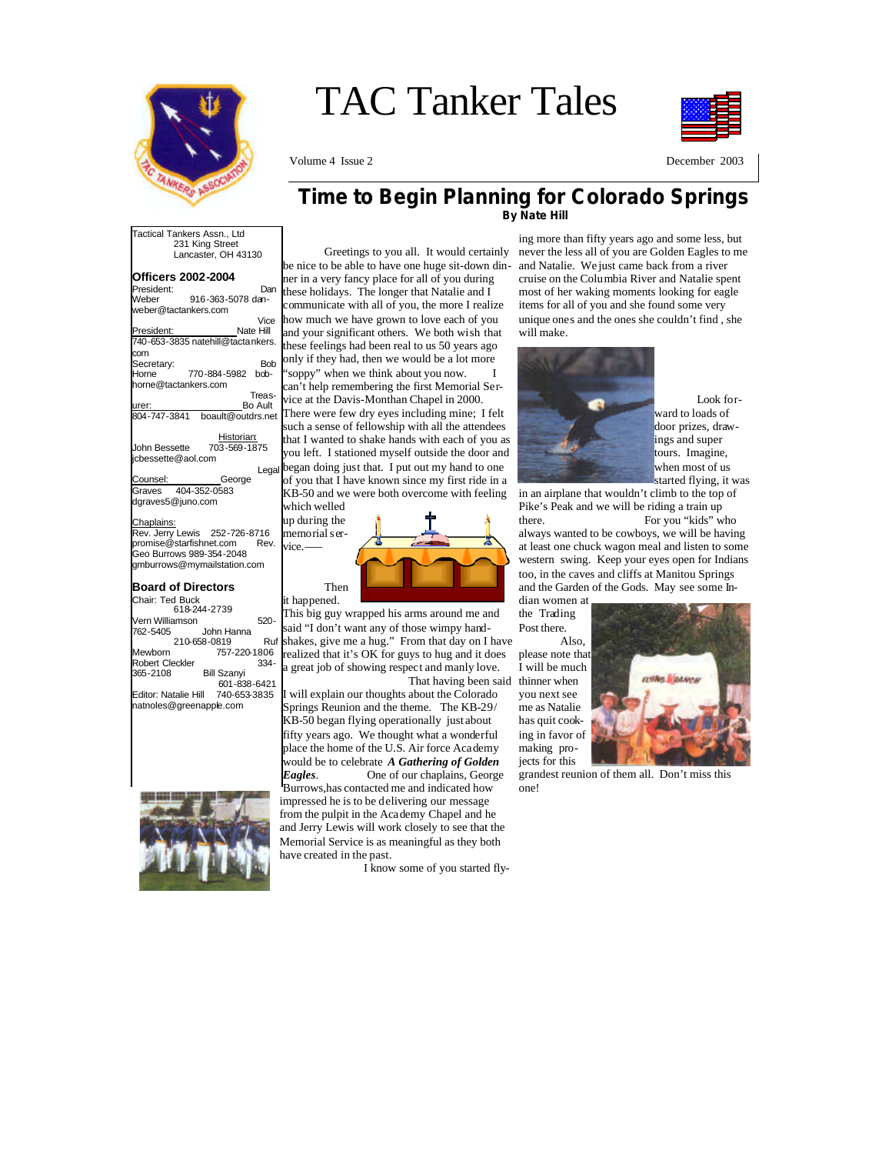

# TAC Tanker Tales

Volume 4 Issue 2 December 2003



#### **Time to Begin Planning for Colorado Springs By Nate Hill**

Tactical Tankers Assn., Ltd 231 King Street Lancaster, OH 43130

#### **Officers 2002-2004**

| President:           | Dan                               |
|----------------------|-----------------------------------|
| Weber                | 916-363-5078 dan-                 |
| weber@tactankers.com |                                   |
|                      | Vice                              |
| President:           | Nate Hill                         |
|                      | 740-653-3835 natehill@tactankers. |
| com                  |                                   |
| Secretary:           | Bob                               |
| Horne                | 770-884-5982<br>bob-              |
| horne@tactankers.com |                                   |
|                      | Treas-                            |
| lurer:               | Bo Ault                           |

urer: Bo Ault 804-747-3841 boault@outdrs.net Historian:

John Bessette 703-569-1875 jcbessette@aol.com Legal<br>George

Counsel: Graves 404-352-0583 dgraves5@juno.com

#### Chaplains:

Rev. Jerry Lewis 252-726-8716 promise@starfishnet.com Rev. Geo Burrows 989-354-2048 gmburrows@mymailstation.com

# **Board of Directors**

Chair: Ted Buck 618-244-2739 Vern Williamson 520- John Hanna 210-658-0819 Ruf Mewborn 757-220-1806 Robert Cleckler 334-<br>365-2108 Bill Szanyi Bill Szanyi 601-838-6421 Editor: Natalie Hill 740-653-3835 natnoles@greenapple.com



 Greetings to you all. It would certainly be nice to be able to have one huge sit-down dinner in a very fancy place for all of you during these holidays. The longer that Natalie and I communicate with all of you, the more I realize how much we have grown to love each of you and your significant others. We both wish that these feelings had been real to us 50 years ago only if they had, then we would be a lot more "soppy" when we think about you now. I

can't help remembering the first Memorial Service at the Davis-Monthan Chapel in 2000. There were few dry eyes including mine; I felt such a sense of fellowship with all the attendees that I wanted to shake hands with each of you as

you left. I stationed myself outside the door and began doing just that. I put out my hand to one of you that I have known since my first ride in a KB-50 and we were both overcome with feeling

which welled up during the memorial service.



This big guy wrapped his arms around me and said "I don't want any of those wimpy handshakes, give me a hug." From that day on I have realized that it's OK for guys to hug and it does a great job of showing respect and manly love.

 That having been said will explain our thoughts about the Colorado Springs Reunion and the theme. The KB-29/ KB-50 began flying operationally just about fifty years ago. We thought what a wonderful place the home of the U.S. Air force Academy would be to celebrate *A Gathering of Golden Eagles*. One of our chaplains, George

Burrows,has contacted me and indicated how impressed he is to be delivering our message from the pulpit in the Academy Chapel and he and Jerry Lewis will work closely to see that the Memorial Service is as meaningful as they both have created in the past.

I know some of you started fly-

ing more than fifty years ago and some less, but never the less all of you are Golden Eagles to me and Natalie. We just came back from a river cruise on the Columbia River and Natalie spent most of her waking moments looking for eagle items for all of you and she found some very unique ones and the ones she couldn't find , she will make.



 Look forward to loads of door prizes, drawings and super tours. Imagine, when most of us started flying, it was

in an airplane that wouldn't climb to the top of Pike's Peak and we will be riding a train up there. For you "kids" who

always wanted to be cowboys, we will be having at least one chuck wagon meal and listen to some western swing. Keep your eyes open for Indians too, in the caves and cliffs at Manitou Springs and the Garden of the Gods. May see some In-

dian women at the Trading Post there. Also,

please note that I will be much thinner when you next see me as Natalie has quit cooking in favor of making projects for this



grandest reunion of them all. Don't miss this one!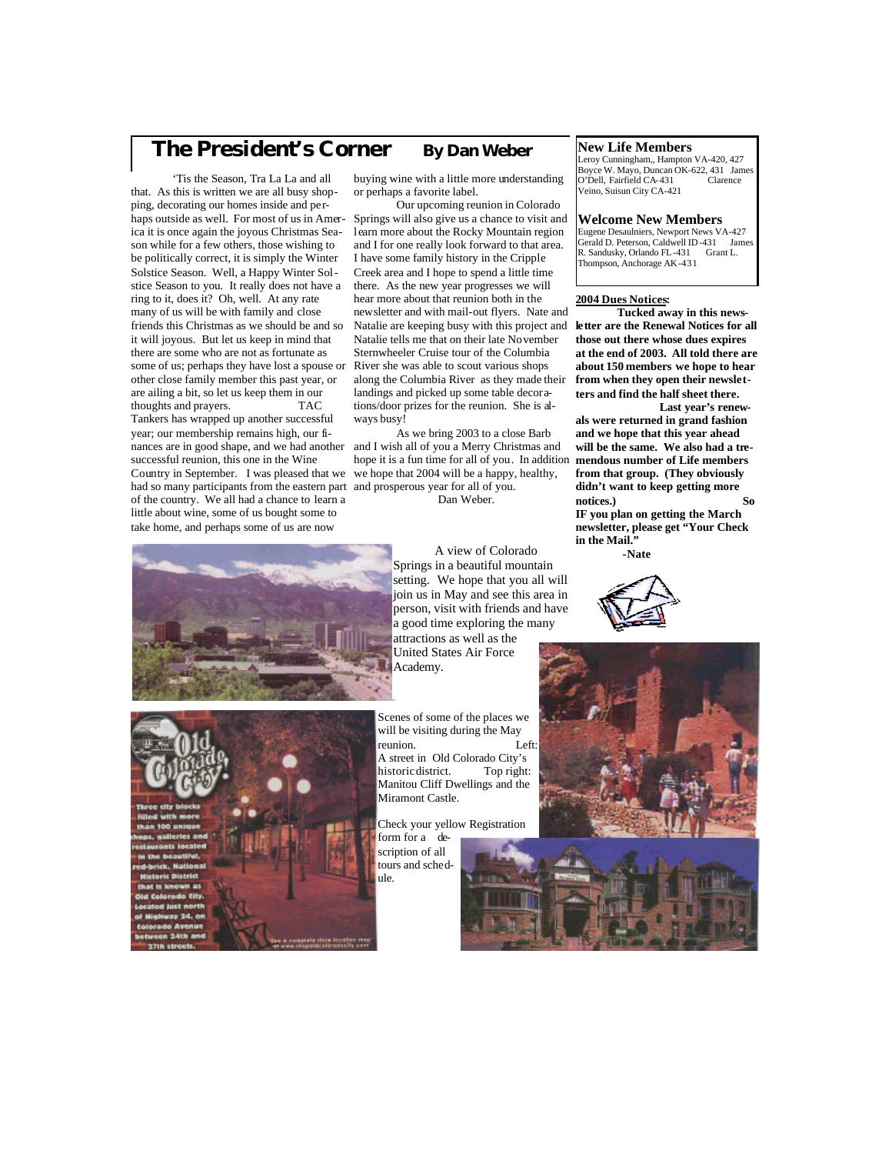# **The President's Corner By Dan Weber**

 'Tis the Season, Tra La La and all that. As this is written we are all busy shopping, decorating our homes inside and perhaps outside as well. For most of us in America it is once again the joyous Christmas Season while for a few others, those wishing to be politically correct, it is simply the Winter Solstice Season. Well, a Happy Winter Solstice Season to you. It really does not have a ring to it, does it? Oh, well. At any rate many of us will be with family and close friends this Christmas as we should be and so it will joyous. But let us keep in mind that there are some who are not as fortunate as some of us; perhaps they have lost a spouse or other close family member this past year, or are ailing a bit, so let us keep them in our thoughts and prayers. TAC Tankers has wrapped up another successful

year; our membership remains high, our finances are in good shape, and we had another successful reunion, this one in the Wine Country in September. I was pleased that we had so many participants from the eastern part and prosperous year for all of you. of the country. We all had a chance to learn a little about wine, some of us bought some to take home, and perhaps some of us are now

buying wine with a little more understanding or perhaps a favorite label.

 Our upcoming reunion in Colorado Springs will also give us a chance to visit and learn more about the Rocky Mountain region and I for one really look forward to that area. I have some family history in the Cripple Creek area and I hope to spend a little time there. As the new year progresses we will hear more about that reunion both in the newsletter and with mail-out flyers. Nate and Natalie are keeping busy with this project and **letter are the Renewal Notices for all**  Natalie tells me that on their late November Sternwheeler Cruise tour of the Columbia River she was able to scout various shops along the Columbia River as they made their landings and picked up some table decorations/door prizes for the reunion. She is always busy!

 As we bring 2003 to a close Barb and I wish all of you a Merry Christmas and hope it is a fun time for all of you. In addition we hope that 2004 will be a happy, healthy,

Dan Weber.

#### A view of Colorado **-Nate** Springs in a beautiful mountain setting. We hope that you all will join us in May and see this area in person, visit with friends and have a good time exploring the many attractions as well as the United States Air Force Academy.

Scenes of some of the places we will be visiting during the May reunion. Left: A street in Old Colorado City's<br>historic district. Top right: historic district.

#### **New Life Members**

Leroy Cunningham,, Hampton VA-420, 427 Boyce W. Mayo, Duncan OK-622, 431 James O'Dell, Fairfield CA-431 Veino, Suisun City CA-421

#### **Welcome New Members**

Eugene Desaulniers, Newport News VA-427 Gerald D. Peterson, Caldwell ID-431 James<br>R. Sandusky, Orlando FL-431 Grant L. R. Sandusky, Orlando FL-431 Thompson, Anchorage AK-431

#### **2004 Dues Notices:**

 **Tucked away in this newsthose out there whose dues expires at the end of 2003. All told there are about 150 members we hope to hear from when they open their newsletters and find the half sheet there.**

 **Last year's renewals were returned in grand fashion and we hope that this year ahead will be the same. We also had a tremendous number of Life members from that group. (They obviously didn't want to keep getting more notices.) So** 

**IF you plan on getting the March newsletter, please get "Your Check in the Mail."** 







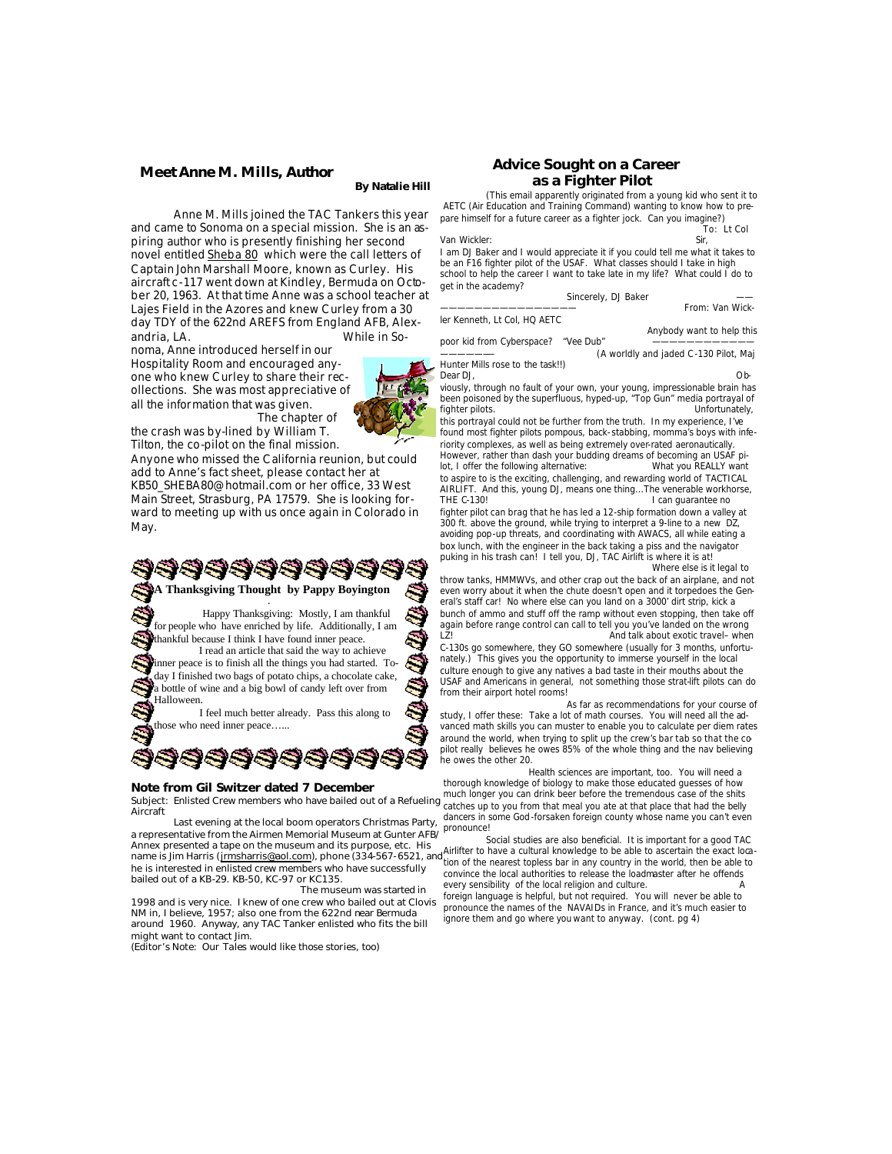#### **Meet Anne M. Mills, Author**

#### **By Natalie Hill**

 Anne M. Mills joined the TAC Tankers this year and came to Sonoma on a special mission. She is an aspiring author who is presently finishing her second novel entitled Sheba 80 which were the call letters of Captain John Marshall Moore, known as Curley. His aircraft c-117 went down at Kindley, Bermuda on October 20, 1963. At that time Anne was a school teacher at Lajes Field in the Azores and knew Curley from a 30 day TDY of the 622nd AREFS from England AFB, Alexandria, LA. While in So-

noma, Anne introduced herself in our Hospitality Room and encouraged anyone who knew Curley to share their recollections. She was most appreciative of all the information that was given.



 The chapter of the crash was by-lined by William T. Tilton, the co-pilot on the final mission.

Anyone who missed the California reunion, but could add to Anne's fact sheet, please contact her at KB50\_SHEBA80@hotmail.com or her office, 33 West Main Street, Strasburg, PA 17579. She is looking forward to meeting up with us once again in Colorado in May.

**A Thanksgiving Thought by Pappy Boyington** .

 Happy Thanksgiving: Mostly, I am thankful for people who have enriched by life. Additionally, I am thankful because I think I have found inner peace.

 I read an article that said the way to achieve inner peace is to finish all the things you had started. Today I finished two bags of potato chips, a chocolate cake, a bottle of wine and a big bowl of candy left over from Halloween.

 I feel much better already. Pass this along to those who need inner peace…...

#### **Note from Gil Switzer dated 7 December**

88888

a representative from the Airmen Memorial Museum at Gunter AFB/<br>a representative from the Airmen Memorial Museum at Gunter AFB/ Last evening at the local boom operators Christmas Party, Annex presented a tape on the museum and its purpose, etc. His<br>name is Jim Harris (<u>jrmsharris@aol.com</u>), phone (334-567-6521, and<mark>,</mark> he is interested in enlisted crew members who have successfully bailed out of a KB-29. KB-50, KC-97 or KC135.

 The museum was started in 1998 and is very nice. I knew of one crew who bailed out at Clovis NM in, I believe, 1957; also one from the 622nd near Bermuda around 1960. Anyway, any TAC Tanker enlisted who fits the bill might want to contact Jim.

(*Editor's Note: Our Tales would like those stories, too)* 

#### **Advice Sought on a Career as a Fighter Pilot**

(This email apparently originated from a young kid who sent it to AETC (Air Education and Training Command) wanting to know how to prepare himself for a future career as a fighter jock. Can you imagine?)

To: Lt Col

From: Van Wick-

I am DJ Baker and I would appreciate it if you could tell me what it takes to be an F16 fighter pilot of the USAF. What classes should I take in high school to help the career I want to take late in my life? What could I do to get in the academy?

Sincerely, DJ Baker

ler Kenneth, Lt Col, HQ AETC

Van Wickler:

Anybody want to help this<br>
"Vee Dub"

poor kid from Cyberspace?

(A worldly and jaded C-130 Pilot, Maj Hunter Mills rose to the task!!)<br>Dear DJ.

Dear DJ, Obviously, through no fault of your own, your young, impressionable brain has been poisoned by the superfluous, hyped-up, "Top Gun" media portrayal of fighter pilots. fighter pilots.

this portrayal could not be further from the truth. In my experience, I've found most fighter pilots pompous, back-stabbing, momma's boys with inferiority complexes, as well as being extremely over-rated aeronautically. However, rather than dash your budding dreams of becoming an USAF pi-

lot, I offer the following alternative: What you REALLY want to aspire to is the exciting, challenging, and rewarding world of TACTICAL AIRLIFT. And this, young DJ, means one thing...The venerable workhorse, I can guarantee no

fighter pilot can brag that he has led a 12-ship formation down a valley at 300 ft. above the ground, while trying to interpret a 9-line to a new DZ, avoiding pop-up threats, and coordinating with AWACS, all while eating a box lunch, with the engineer in the back taking a piss and the navigator puking in his trash can! I tell you, DJ, TAC Airlift is where it is at!

 Where else is it legal to throw tanks, HMMWVs, and other crap out the back of an airplane, and not even worry about it when the chute doesn't open and it torpedoes the General's staff car! No where else can you land on a 3000' dirt strip, kick a bunch of ammo and stuff off the ramp without even stopping, then take off again before range control can call to tell you you've landed on the wrong LZ! LZI And talk about exotic travel– when C-130s go somewhere, they GO somewhere (usually for 3 months, unfortunately.) This gives you the opportunity to immerse yourself in the local culture enough to give any natives a bad taste in their mouths about the

USAF and Americans in general, not something those strat-lift pilots can do from their airport hotel rooms! As far as recommendations for your course of

study, I offer these: Take a lot of math courses. You will need all the advanced math skills you can muster to enable you to calculate per diem rates around the world, when trying to split up the crew's bar tab so that the copilot really believes he owes 85% of the whole thing and the nav believing he owes the other 20.

 Health sciences are important, too. You will need a thorough knowledge of biology to make those educated guesses of how much longer you can drink beer before the tremendous case of the shits Subject: Enlisted Crew members who have bailed out of a Refueling much briggt you can unit been believe the that place that had the belly that had the belly to the belly attention that meal you at at that place that had th dancers in some God-forsaken foreign county whose name you can't even

> Social studies are also beneficial. It is important for a good TAC Airlifter to have a cultural knowledge to be able to ascertain the exact loca-tion of the nearest topless bar in any country in the world, then be able to convince the local authorities to release the loadmaster after he offends every sensibility of the local religion and culture.

foreign language is helpful, but not required. You will never be able to pronounce the names of the NAVAIDs in France, and it's much easier to ignore them and go where you want to anyway. (cont. pg 4)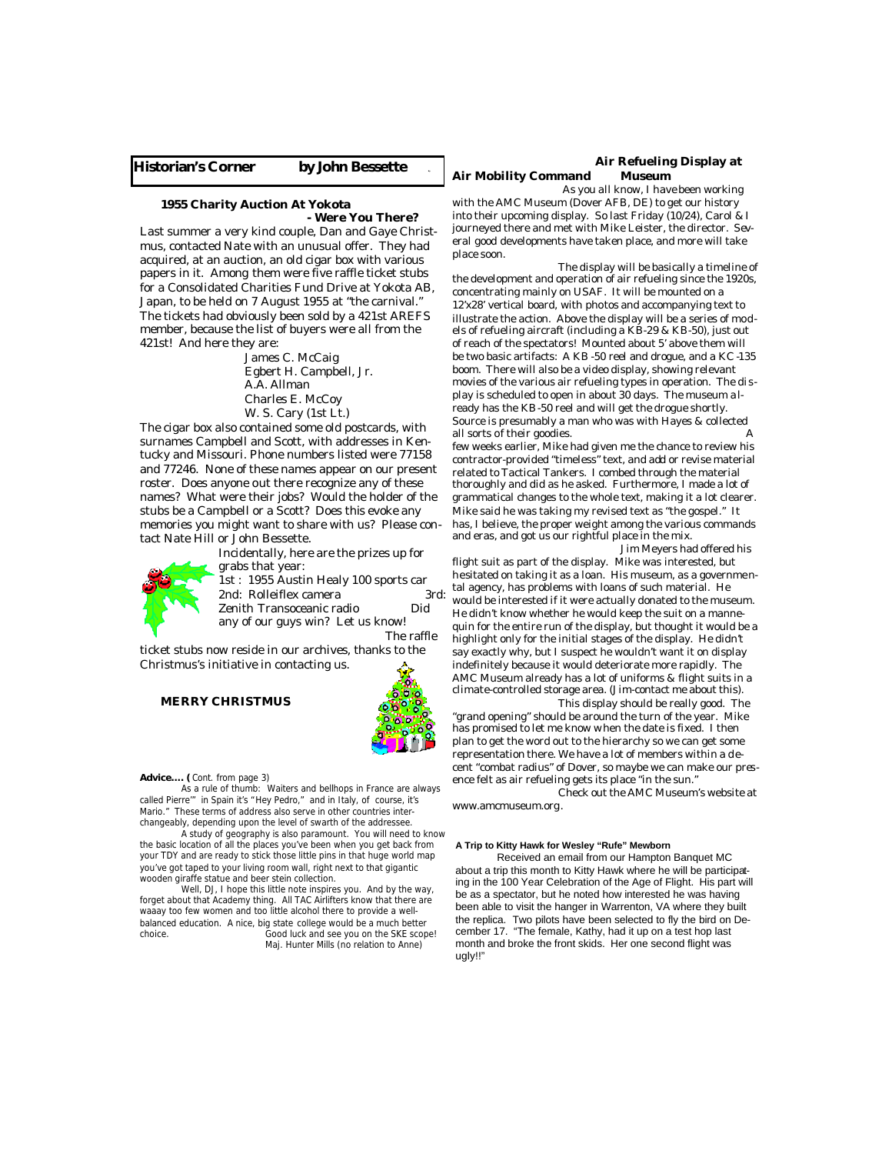#### **Historian's Corner by John Bessette By**

#### **1955 Charity Auction At Yokota Were You There?**

Last summer a very kind couple, Dan and Gaye Christmus, contacted Nate with an unusual offer. They had acquired, at an auction, an old cigar box with various papers in it. Among them were five raffle ticket stubs for a Consolidated Charities Fund Drive at Yokota AB, Japan, to be held on 7 August 1955 at "the carnival." The tickets had obviously been sold by a 421st AREFS member, because the list of buyers were all from the 421st! And here they are:

> James C. McCaig Egbert H. Campbell, Jr. A.A. Allman Charles E. McCoy W. S. Cary (1st Lt.)

The cigar box also contained some old postcards, with surnames Campbell and Scott, with addresses in Kentucky and Missouri. Phone numbers listed were 77158 and 77246. None of these names appear on our present roster. Does anyone out there recognize any of these names? What were their jobs? Would the holder of the stubs be a Campbell or a Scott? Does this evoke any memories you might want to share with us? Please contact Nate Hill or John Bessette.



Incidentally, here are the prizes up for grabs that year: 1st : 1955 Austin Healy 100 sports car

2nd: Rolleiflex camera 3rd: Zenith Transoceanic radio Did any of our guys win? Let us know! The raffle

ticket stubs now reside in our archives, thanks to the Christmus's initiative in contacting us.

#### **MERRY CHRISTMUS**

**Advice…. (** Cont. from page 3)

 As a rule of thumb: Waiters and bellhops in France are always called Pierre'" in Spain it's "Hey Pedro," and in Italy, of course, it's Mario." These terms of address also serve in other countries interchangeably, depending upon the level of swarth of the addressee.

 A study of geography is also paramount. You will need to know the basic location of all the places you've been when you get back from your TDY and are ready to stick those little pins in that huge world map you've got taped to your living room wall, right next to that gigantic wooden giraffe statue and beer stein collection.

 Well, DJ, I hope this little note inspires you. And by the way, forget about that Academy thing. All TAC Airlifters know that there are waaay too few women and too little alcohol there to provide a wellbalanced education. A nice, big state college would be a much better choice.<br>Cood luck and see you on the SKE scop Good luck and see you on the SKE scope! Maj. Hunter Mills (no relation to Anne)

#### **Air Refueling Display at Air Mobility Command Museum**

 As you all know, I have been working with the AMC Museum (Dover AFB, DE) to get our history

into their upcoming display. So last Friday (10/24), Carol & I journeyed there and met with Mike Leister, the director. Several good developments have taken place, and more will take place soon.

 The display will be basically a timeline of the development and operation of air refueling since the 1920s, concentrating mainly on USAF. It will be mounted on a 12'x28' vertical board, with photos and accompanying text to illustrate the action. Above the display will be a series of models of refueling aircraft (including a KB-29 & KB-50), just out of reach of the spectators! Mounted about 5' above them will be two basic artifacts: A KB -50 reel and drogue, and a KC -135 boom. There will also be a video display, showing relevant movies of the various air refueling types in operation. The display is scheduled to open in about 30 days. The museum already has the KB-50 reel and will get the drogue shortly. Source is presumably a man who was with Hayes & collected all sorts of their goodies. few weeks earlier, Mike had given me the chance to review his contractor-provided "timeless" text, and add or revise material related to Tactical Tankers. I combed through the material thoroughly and did as he asked. Furthermore, I made a lot of grammatical changes to the whole text, making it a lot clearer. Mike said he was taking my revised text as "the gospel." It

has, I believe, the proper weight among the various commands and eras, and got us our rightful place in the mix. Jim Meyers had offered his

flight suit as part of the display. Mike was interested, but hesitated on taking it as a loan. His museum, as a governmental agency, has problems with loans of such material. He would be interested if it were actually donated to the museum. He didn't know whether he would keep the suit on a mannequin for the entire run of the display, but thought it would be a highlight only for the initial stages of the display. He didn't say exactly why, but I suspect he wouldn't want it on display indefinitely because it would deteriorate more rapidly. The AMC Museum already has a lot of uniforms & flight suits in a climate-controlled storage area. (Jim-contact me about this).

 This display should be really good. The "grand opening" should be around the turn of the year. Mike has promised to let me know when the date is fixed. I then plan to get the word out to the hierarchy so we can get some representation there. We have a lot of members within a decent "combat radius" of Dover, so maybe we can make our presence felt as air refueling gets its place "in the sun."

 Check out the AMC Museum's website at www.amcmuseum.org.

#### **A Trip to Kitty Hawk for Wesley "Rufe" Mewborn**

Received an email from our Hampton Banquet MC about a trip this month to Kitty Hawk where he will be participating in the 100 Year Celebration of the Age of Flight. His part will be as a spectator, but he noted how interested he was having been able to visit the hanger in Warrenton, VA where they built the replica. Two pilots have been selected to fly the bird on December 17. "The female, Kathy, had it up on a test hop last month and broke the front skids. Her one second flight was ugly!!"

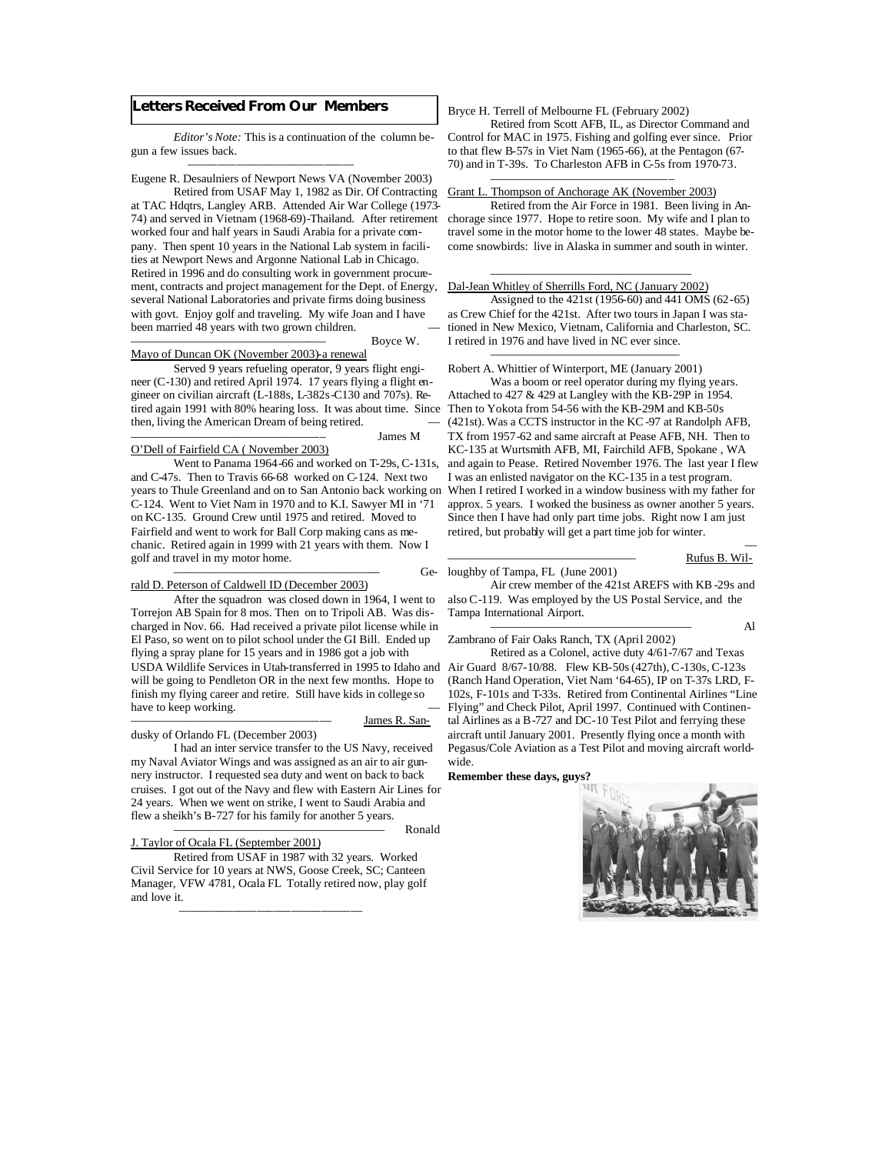#### **Letters Received From Our Members**

——–—–—–—–—–—–—–—–—

 *Editor's Note:* This is a continuation of the column begun a few issues back.

#### Eugene R. Desaulniers of Newport News VA (November 2003) Retired from USAF May 1, 1982 as Dir. Of Contracting

at TAC Hdqtrs, Langley ARB. Attended Air War College (1973- 74) and served in Vietnam (1968-69)-Thailand. After retirement chorage since 1977. Hope to retire soon. My wife and I plan to worked four and half years in Saudi Arabia for a private company. Then spent 10 years in the National Lab system in facilities at Newport News and Argonne National Lab in Chicago. Retired in 1996 and do consulting work in government procurement, contracts and project management for the Dept. of Energy, several National Laboratories and private firms doing business with govt. Enjoy golf and traveling. My wife Joan and I have been married 48 years with two grown children.

#### Mayo of Duncan OK (November 2003)-a renewal

 Served 9 years refueling operator, 9 years flight engineer (C-130) and retired April 1974. 17 years flying a flight engineer on civilian aircraft (L-188s, L-382s-C130 and 707s). Retired again 1991 with 80% hearing loss. It was about time. Since Then to Yokota from 54-56 with the KB-29M and KB-50s then, living the American Dream of being retired.

Boyce W.

James M

#### O'Dell of Fairfield CA ( November 2003)

 Went to Panama 1964-66 and worked on T-29s, C-131s, and C-47s. Then to Travis 66-68 worked on C-124. Next two years to Thule Greenland and on to San Antonio back working on C-124. Went to Viet Nam in 1970 and to K.I. Sawyer MI in '71 on KC-135. Ground Crew until 1975 and retired. Moved to Fairfield and went to work for Ball Corp making cans as mechanic. Retired again in 1999 with 21 years with them. Now I golf and travel in my motor home.

#### —————————————————– Gerald D. Peterson of Caldwell ID (December 2003)

 After the squadron was closed down in 1964, I went to Torrejon AB Spain for 8 mos. Then on to Tripoli AB. Was discharged in Nov. 66. Had received a private pilot license while in El Paso, so went on to pilot school under the GI Bill. Ended up flying a spray plane for 15 years and in 1986 got a job with USDA Wildlife Services in Utah-transferred in 1995 to Idaho and Air Guard 8/67-10/88. Flew KB-50s (427th), C-130s, C-123s will be going to Pendleton OR in the next few months. Hope to finish my flying career and retire. Still have kids in college so have to keep working.

#### dusky of Orlando FL (December 2003)

 I had an inter service transfer to the US Navy, received my Naval Aviator Wings and was assigned as an air to air gunnery instructor. I requested sea duty and went on back to back cruises. I got out of the Navy and flew with Eastern Air Lines for 24 years. When we went on strike, I went to Saudi Arabia and flew a sheikh's B-727 for his family for another 5 years.

Ronald

James R. San-

#### J. Taylor of Ocala FL (September 2001)

———–—–—–—–—–——–——–—

 Retired from USAF in 1987 with 32 years. Worked Civil Service for 10 years at NWS, Goose Creek, SC; Canteen Manager, VFW 4781, Ocala FL Totally retired now, play golf and love it.

#### Bryce H. Terrell of Melbourne FL (February 2002)

 *—————————————————–*

Retired from Scott AFB, IL, as Director Command and Control for MAC in 1975. Fishing and golfing ever since. Prior to that flew B-57s in Viet Nam (1965-66), at the Pentagon (67- 70) and in T-39s. To Charleston AFB in C-5s from 1970-73.

#### Grant L. Thompson of Anchorage AK (November 2003)

 Retired from the Air Force in 1981. Been living in Antravel some in the motor home to the lower 48 states. Maybe become snowbirds: live in Alaska in summer and south in winter.

#### $\frac{1}{\sqrt{2}}$  ,  $\frac{1}{\sqrt{2}}$  ,  $\frac{1}{\sqrt{2}}$  ,  $\frac{1}{\sqrt{2}}$  ,  $\frac{1}{\sqrt{2}}$  ,  $\frac{1}{\sqrt{2}}$  ,  $\frac{1}{\sqrt{2}}$  ,  $\frac{1}{\sqrt{2}}$  ,  $\frac{1}{\sqrt{2}}$  ,  $\frac{1}{\sqrt{2}}$  ,  $\frac{1}{\sqrt{2}}$  ,  $\frac{1}{\sqrt{2}}$  ,  $\frac{1}{\sqrt{2}}$  ,  $\frac{1}{\sqrt{2}}$  ,  $\frac{1}{\sqrt{2}}$ Dal-Jean Whitley of Sherrills Ford, NC (January 2002)

 Assigned to the 421st (1956-60) and 441 OMS (62-65) as Crew Chief for the 421st. After two tours in Japan I was stationed in New Mexico, Vietnam, California and Charleston, SC. I retired in 1976 and have lived in NC ever since.

#### $\overline{\phantom{a}}$  , and the contract of the contract of the contract of the contract of the contract of the contract of the contract of the contract of the contract of the contract of the contract of the contract of the contrac Robert A. Whittier of Winterport, ME (January 2001)

Was a boom or reel operator during my flying years. Attached to 427 & 429 at Langley with the KB-29P in 1954. (421st). Was a CCTS instructor in the KC -97 at Randolph AFB, TX from 1957-62 and same aircraft at Pease AFB, NH. Then to KC-135 at Wurtsmith AFB, MI, Fairchild AFB, Spokane , WA and again to Pease. Retired November 1976. The last year I flew I was an enlisted navigator on the KC-135 in a test program. When I retired I worked in a window business with my father for approx. 5 years. I worked the business as owner another 5 years. Since then I have had only part time jobs. Right now I am just retired, but probably will get a part time job for winter.

#### Rufus B. Wil-

#### Ge-loughby of Tampa, FL (June 2001)

 Air crew member of the 421st AREFS with KB -29s and also C-119. Was employed by the US Postal Service, and the Tampa International Airport.

—

————————————————— Al

#### Zambrano of Fair Oaks Ranch, TX (April 2002)

 Retired as a Colonel, active duty 4/61-7/67 and Texas (Ranch Hand Operation, Viet Nam '64-65), IP on T-37s LRD, F-102s, F-101s and T-33s. Retired from Continental Airlines "Line Flying" and Check Pilot, April 1997. Continued with Continental Airlines as a B-727 and DC-10 Test Pilot and ferrying these aircraft until January 2001. Presently flying once a month with Pegasus/Cole Aviation as a Test Pilot and moving aircraft worldwide.

#### **Remember these days, guys?**

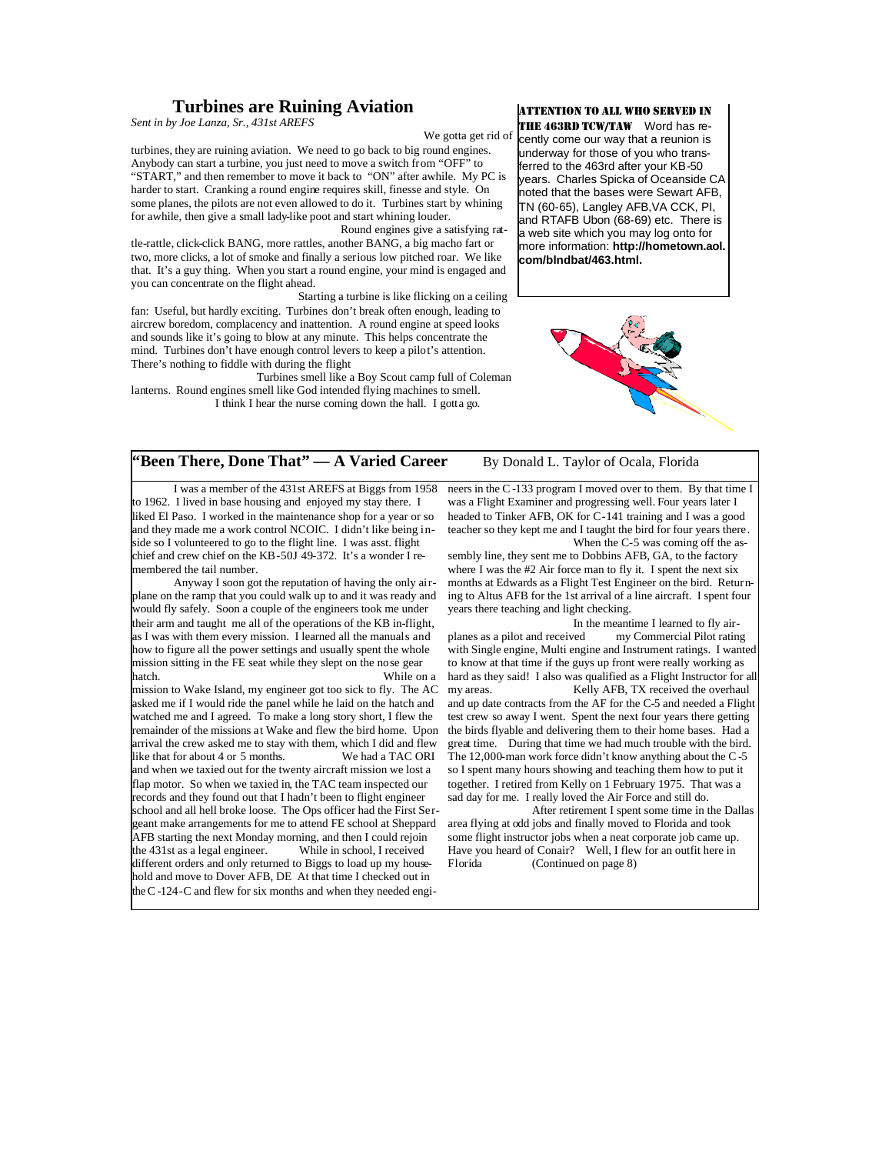#### **Turbines are Ruining Aviation**

*Sent in by Joe Lanza, Sr., 431st AREFS* 

We gotta get rid of

turbines, they are ruining aviation. We need to go back to big round engines. Anybody can start a turbine, you just need to move a switch from "OFF" to "START," and then remember to move it back to "ON" after awhile. My PC is harder to start. Cranking a round engine requires skill, finesse and style. On some planes, the pilots are not even allowed to do it. Turbines start by whining for awhile, then give a small lady-like poot and start whining louder. Round engines give a satisfying rat-

tle-rattle, click-click BANG, more rattles, another BANG, a big macho fart or two, more clicks, a lot of smoke and finally a serious low pitched roar. We like that. It's a guy thing. When you start a round engine, your mind is engaged and you can concentrate on the flight ahead.

 Starting a turbine is like flicking on a ceiling fan: Useful, but hardly exciting. Turbines don't break often enough, leading to aircrew boredom, complacency and inattention. A round engine at speed looks and sounds like it's going to blow at any minute. This helps concentrate the mind. Turbines don't have enough control levers to keep a pilot's attention. There's nothing to fiddle with during the flight

 Turbines smell like a Boy Scout camp full of Coleman lanterns. Round engines smell like God intended flying machines to smell. I think I hear the nurse coming down the hall. I gotta go.

#### ATTENTION TO ALL WHO SERVED IN

THE 463RD TCW/TAW Word has recently come our way that a reunion is underway for those of you who transferred to the 463rd after your KB-50 years. Charles Spicka of Oceanside CA noted that the bases were Sewart AFB, TN (60-65), Langley AFB,VA CCK, PI, and RTAFB Ubon (68-69) etc. There is a web site which you may log onto for more information: **http://hometown.aol. com/blndbat/463.html.**



#### **"Been There, Done That"** — A Varied Career By Donald L. Taylor of Ocala, Florida

 I was a member of the 431st AREFS at Biggs from 1958 to 1962. I lived in base housing and enjoyed my stay there. I liked El Paso. I worked in the maintenance shop for a year or so and they made me a work control NCOIC. I didn't like being inside so I volunteered to go to the flight line. I was asst. flight chief and crew chief on the KB-50J 49-372. It's a wonder I remembered the tail number.

 Anyway I soon got the reputation of having the only airplane on the ramp that you could walk up to and it was ready and would fly safely. Soon a couple of the engineers took me under their arm and taught me all of the operations of the KB in-flight, as I was with them every mission. I learned all the manuals and how to figure all the power settings and usually spent the whole mission sitting in the FE seat while they slept on the nose gear hatch. While on a

mission to Wake Island, my engineer got too sick to fly. The AC asked me if I would ride the panel while he laid on the hatch and watched me and I agreed. To make a long story short, I flew the remainder of the missions at Wake and flew the bird home. Upon arrival the crew asked me to stay with them, which I did and flew like that for about 4 or 5 months. We had a TAC ORI and when we taxied out for the twenty aircraft mission we lost a flap motor. So when we taxied in, the TAC team inspected our records and they found out that I hadn't been to flight engineer school and all hell broke loose. The Ops officer had the First Sergeant make arrangements for me to attend FE school at Sheppard AFB starting the next Monday morning, and then I could rejoin<br>the 431st as a legal engineer. While in school, I received the  $431$ st as a legal engineer. different orders and only returned to Biggs to load up my household and move to Dover AFB, DE At that time I checked out in the C-124-C and flew for six months and when they needed engi-

neers in the C -133 program I moved over to them. By that time I was a Flight Examiner and progressing well. Four years later I headed to Tinker AFB, OK for C-141 training and I was a good teacher so they kept me and I taught the bird for four years there. When the C-5 was coming off the as-

sembly line, they sent me to Dobbins AFB, GA, to the factory where I was the #2 Air force man to fly it. I spent the next six months at Edwards as a Flight Test Engineer on the bird. Returning to Altus AFB for the 1st arrival of a line aircraft. I spent four years there teaching and light checking.

 In the meantime I learned to fly airplanes as a pilot and received my Commercial Pilot rating with Single engine, Multi engine and Instrument ratings. I wanted to know at that time if the guys up front were really working as hard as they said! I also was qualified as a Flight Instructor for all my areas. Kelly AFB. TX received the overhaul Kelly AFB, TX received the overhaul and up date contracts from the AF for the C-5 and needed a Flight test crew so away I went. Spent the next four years there getting the birds flyable and delivering them to their home bases. Had a great time. During that time we had much trouble with the bird. The 12,000-man work force didn't know anything about the C -5 so I spent many hours showing and teaching them how to put it together. I retired from Kelly on 1 February 1975. That was a sad day for me. I really loved the Air Force and still do.

 After retirement I spent some time in the Dallas area flying at odd jobs and finally moved to Florida and took some flight instructor jobs when a neat corporate job came up. Have you heard of Conair? Well, I flew for an outfit here in<br>Florida (Continued on page 8) (Continued on page 8)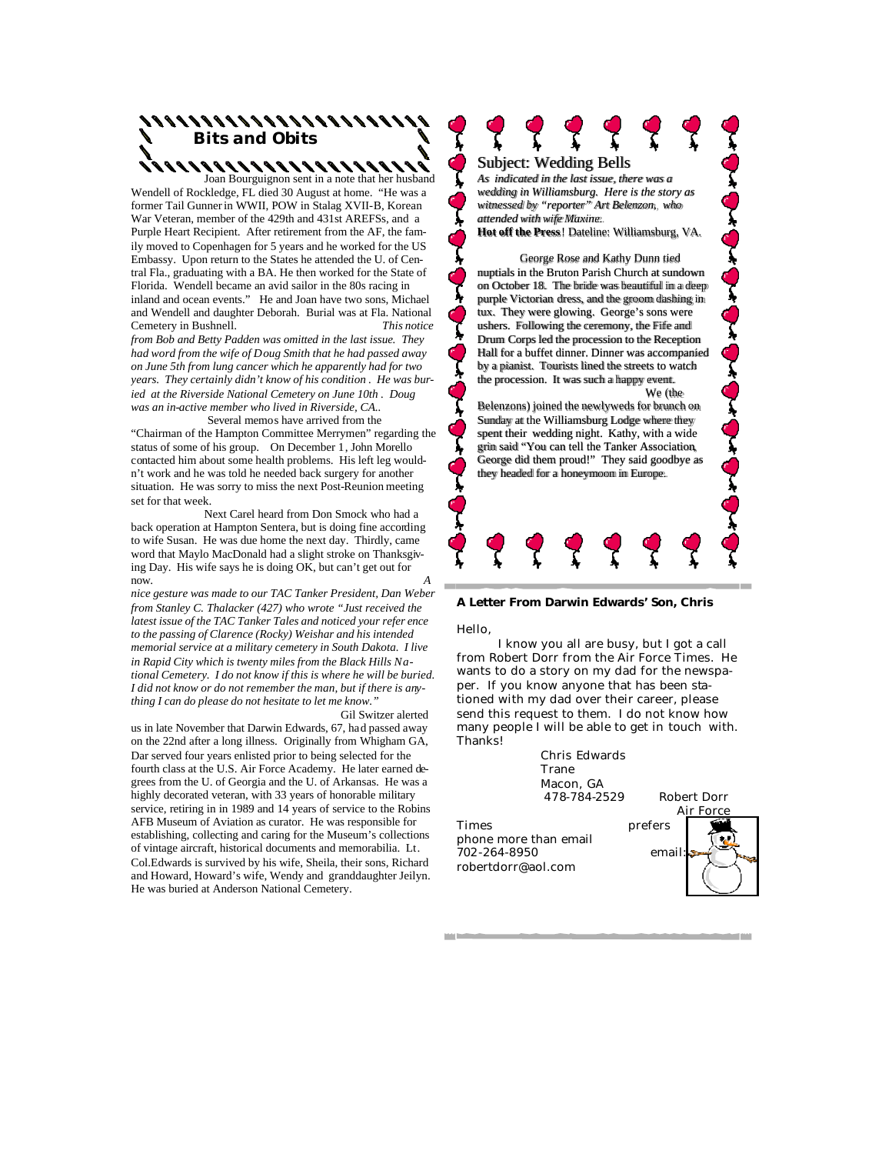## **Bits and Obits**

 Joan Bourguignon sent in a note that her husband Wendell of Rockledge, FL died 30 August at home. "He was a former Tail Gunner in WWII, POW in Stalag XVII-B, Korean War Veteran, member of the 429th and 431st AREFSs, and a Purple Heart Recipient. After retirement from the AF, the family moved to Copenhagen for 5 years and he worked for the US Embassy. Upon return to the States he attended the U. of Central Fla., graduating with a BA. He then worked for the State of Florida. Wendell became an avid sailor in the 80s racing in inland and ocean events." He and Joan have two sons, Michael and Wendell and daughter Deborah. Burial was at Fla. National Cemetery in Bushnell. *This notice from Bob and Betty Padden was omitted in the last issue. They had word from the wife of Doug Smith that he had passed away on June 5th from lung cancer which he apparently had for two years. They certainly didn't know of his condition . He was buried at the Riverside National Cemetery on June 10th . Doug was an in-active member who lived in Riverside, CA..* Several memos have arrived from the

"Chairman of the Hampton Committee Merrymen" regarding the status of some of his group. On December 1, John Morello contacted him about some health problems. His left leg wouldn't work and he was told he needed back surgery for another situation. He was sorry to miss the next Post-Reunion meeting set for that week.

 Next Carel heard from Don Smock who had a back operation at Hampton Sentera, but is doing fine according to wife Susan. He was due home the next day. Thirdly, came word that Maylo MacDonald had a slight stroke on Thanksgiving Day. His wife says he is doing OK, but can't get out for now. *A* 

*nice gesture was made to our TAC Tanker President, Dan Weber from Stanley C. Thalacker (427) who wrote "Just received the latest issue of the TAC Tanker Tales and noticed your refer ence to the passing of Clarence (Rocky) Weishar and his intended memorial service at a military cemetery in South Dakota. I live in Rapid City which is twenty miles from the Black Hills National Cemetery. I do not know if this is where he will be buried. I did not know or do not remember the man, but if there is anything I can do please do not hesitate to let me know."* 

Gil Switzer alerted us in late November that Darwin Edwards, 67, had passed away on the 22nd after a long illness. Originally from Whigham GA, Dar served four years enlisted prior to being selected for the fourth class at the U.S. Air Force Academy. He later earned degrees from the U. of Georgia and the U. of Arkansas. He was a highly decorated veteran, with 33 years of honorable military service, retiring in in 1989 and 14 years of service to the Robins AFB Museum of Aviation as curator. He was responsible for establishing, collecting and caring for the Museum's collections of vintage aircraft, historical documents and memorabilia. Lt. Col.Edwards is survived by his wife, Sheila, their sons, Richard and Howard, Howard's wife, Wendy and granddaughter Jeilyn. He was buried at Anderson National Cemetery.

### Subject: Wedding Bells

*As indicated in the last issue, there was a wedding in Williamsburg. Here is the story as witnessed by "reporter" Art Belenzon, who attended with wife Maxine.* **Hot off the Press**! Dateline: Williamsburg, VA.

 George Rose and Kathy Dunn tied nuptials in the Bruton Parish Church at sundown on October 18. The bride was beautiful in a deep purple Victorian dress, and the groom dashing in tux. They were glowing. George's sons were ushers. Following the ceremony, the Fife and Drum Corps led the procession to the Reception Hall for a buffet dinner. Dinner was accompanied by a pianist. Tourists lined the streets to watch the procession. It was such a happy event. We (the

Belenzons) joined the newlyweds for brunch on Sunday at the Williamsburg Lodge where they spent their wedding night. Kathy, with a wide grin said "You can tell the Tanker Association, George did them proud!" They said goodbye as they headed for a honeymoon in Europe.



#### **A Letter From Darwin Edwards' Son, Chris**

Hello,

 I know you all are busy, but I got a call from Robert Dorr from the Air Force Times. He wants to do a story on my dad for the newspaper. If you know anyone that has been stationed with my dad over their career, please send this request to them. I do not know how many people I will be able to get in touch with. Thanks!

> Chris Edwards Trane Macon, GA 478-784-2529 Robert Dorr

Times prefers phone more than email 702-264-8950 email: robertdorr@aol.com



**TIME**